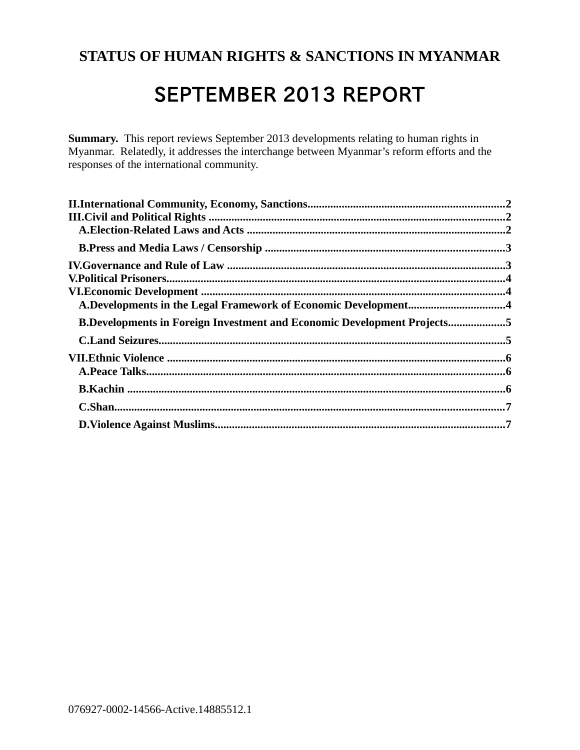# **STATUS OF HUMAN RIGHTS & SANCTIONS IN MYANMAR**

# SEPTEMBER 2013 REPORT

**Summary.** This report reviews September 2013 developments relating to human rights in Myanmar. Relatedly, it addresses the interchange between Myanmar's reform efforts and the responses of the international community.

| A.Developments in the Legal Framework of Economic Development4                 |  |
|--------------------------------------------------------------------------------|--|
| <b>B.Developments in Foreign Investment and Economic Development Projects5</b> |  |
|                                                                                |  |
|                                                                                |  |
|                                                                                |  |
|                                                                                |  |
|                                                                                |  |
|                                                                                |  |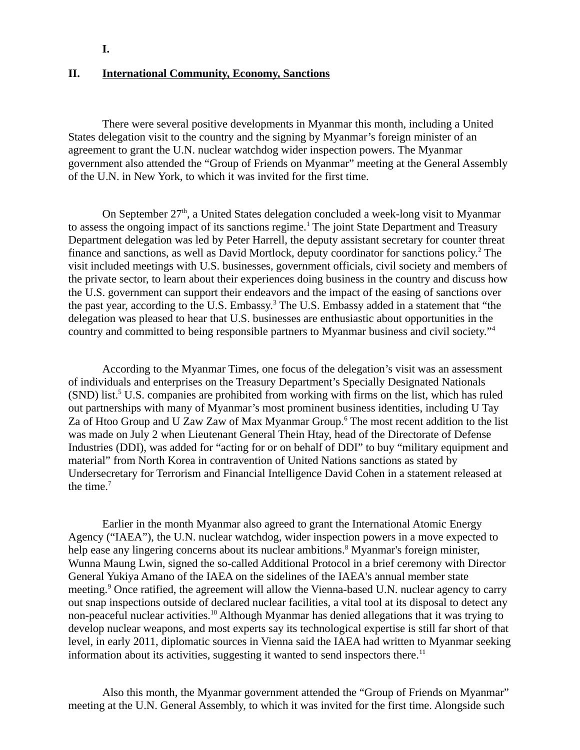<span id="page-1-0"></span>**I.**

#### **II. International Community, Economy, Sanctions**

There were several positive developments in Myanmar this month, including a United States delegation visit to the country and the signing by Myanmar's foreign minister of an agreement to grant the U.N. nuclear watchdog wider inspection powers. The Myanmar government also attended the "Group of Friends on Myanmar" meeting at the General Assembly of the U.N. in New York, to which it was invited for the first time.

On September  $27<sup>th</sup>$ , a United States delegation concluded a week-long visit to Myanmar to assess the ongoing impact of its sanctions regime.<sup>1</sup> The joint State Department and Treasury Department delegation was led by Peter Harrell, the deputy assistant secretary for counter threat finance and sanctions, as well as David Mortlock, deputy coordinator for sanctions policy.<sup>2</sup> The visit included meetings with U.S. businesses, government officials, civil society and members of the private sector, to learn about their experiences doing business in the country and discuss how the U.S. government can support their endeavors and the impact of the easing of sanctions over the past year, according to the U.S. Embassy.<sup>3</sup> The U.S. Embassy added in a statement that "the delegation was pleased to hear that U.S. businesses are enthusiastic about opportunities in the country and committed to being responsible partners to Myanmar business and civil society."<sup>4</sup>

According to the Myanmar Times, one focus of the delegation's visit was an assessment of individuals and enterprises on the Treasury Department's Specially Designated Nationals  $(SND)$  list.<sup>5</sup> U.S. companies are prohibited from working with firms on the list, which has ruled out partnerships with many of Myanmar's most prominent business identities, including U Tay Za of Htoo Group and U Zaw Zaw of Max Myanmar Group. $6$  The most recent addition to the list was made on July 2 when Lieutenant General Thein Htay, head of the Directorate of Defense Industries (DDI), was added for "acting for or on behalf of DDI" to buy "military equipment and material" from North Korea in contravention of United Nations sanctions as stated by Undersecretary for Terrorism and Financial Intelligence David Cohen in a statement released at the time. $7$ 

Earlier in the month Myanmar also agreed to grant the International Atomic Energy Agency ("IAEA"), the U.N. nuclear watchdog, wider inspection powers in a move expected to help ease any lingering concerns about its nuclear ambitions.<sup>8</sup> Myanmar's foreign minister, Wunna Maung Lwin, signed the so-called Additional Protocol in a brief ceremony with Director General Yukiya Amano of the IAEA on the sidelines of the IAEA's annual member state meeting.<sup>9</sup> Once ratified, the agreement will allow the Vienna-based U.N. nuclear agency to carry out snap inspections outside of declared nuclear facilities, a vital tool at its disposal to detect any non-peaceful nuclear activities.<sup>10</sup> Although Myanmar has denied allegations that it was trying to develop nuclear weapons, and most experts say its technological expertise is still far short of that level, in early 2011, diplomatic sources in Vienna said the IAEA had written to Myanmar seeking information about its activities, suggesting it wanted to send inspectors there.<sup>11</sup>

Also this month, the Myanmar government attended the "Group of Friends on Myanmar" meeting at the U.N. General Assembly, to which it was invited for the first time. Alongside such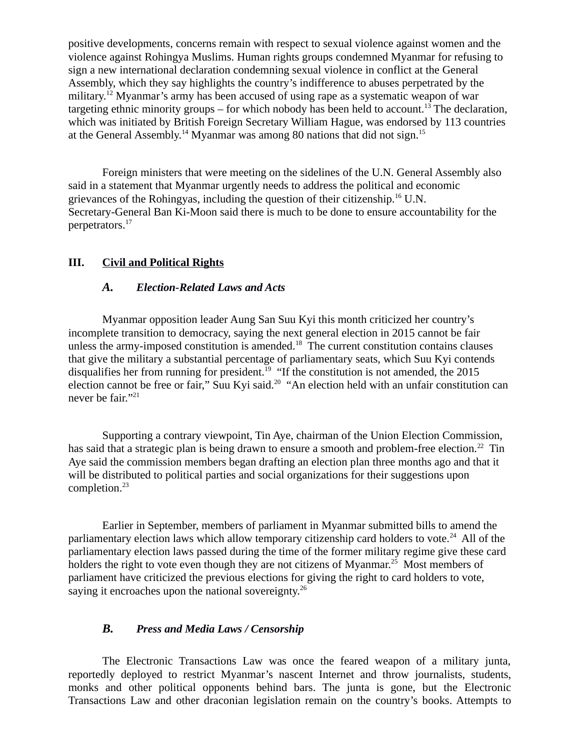positive developments, concerns remain with respect to sexual violence against women and the violence against Rohingya Muslims. Human rights groups condemned Myanmar for refusing to sign a new international declaration condemning sexual violence in conflict at the General Assembly, which they say highlights the country's indifference to abuses perpetrated by the military.<sup>12</sup> Myanmar's army has been accused of using rape as a systematic weapon of war targeting ethnic minority groups – for which nobody has been held to account.<sup>13</sup> The declaration, which was initiated by British Foreign Secretary William Hague, was endorsed by 113 countries at the General Assembly.<sup>14</sup> Myanmar was among 80 nations that did not sign.<sup>15</sup>

Foreign ministers that were meeting on the sidelines of the U.N. General Assembly also said in a statement that Myanmar urgently needs to address the political and economic grievances of the Rohingyas, including the question of their citizenship.<sup>16</sup> U.N. Secretary-General Ban Ki-Moon said there is much to be done to ensure accountability for the perpetrators.<sup>17</sup>

# **III. Civil and Political Rights**

#### <span id="page-2-2"></span><span id="page-2-1"></span>*A. Election-Related Laws and Acts*

Myanmar opposition leader Aung San Suu Kyi this month criticized her country's incomplete transition to democracy, saying the next general election in 2015 cannot be fair unless the army-imposed constitution is amended. $18$  The current constitution contains clauses that give the military a substantial percentage of parliamentary seats, which Suu Kyi contends disqualifies her from running for president.<sup>19</sup> "If the constitution is not amended, the 2015 election cannot be free or fair," Suu Kyi said.<sup>20</sup> "An election held with an unfair constitution can never be fair."<sup>21</sup>

Supporting a contrary viewpoint, Tin Aye, chairman of the Union Election Commission, has said that a strategic plan is being drawn to ensure a smooth and problem-free election.<sup>22</sup> Tin Aye said the commission members began drafting an election plan three months ago and that it will be distributed to political parties and social organizations for their suggestions upon completion.<sup>23</sup>

Earlier in September, members of parliament in Myanmar submitted bills to amend the parliamentary election laws which allow temporary citizenship card holders to vote.<sup>24</sup> All of the parliamentary election laws passed during the time of the former military regime give these card holders the right to vote even though they are not citizens of Myanmar.<sup>25</sup> Most members of parliament have criticized the previous elections for giving the right to card holders to vote, saying it encroaches upon the national sovereignty.<sup>26</sup>

#### <span id="page-2-0"></span>*B. Press and Media Laws / Censorship*

The Electronic Transactions Law was once the feared weapon of a military junta, reportedly deployed to restrict Myanmar's nascent Internet and throw journalists, students, monks and other political opponents behind bars. The junta is gone, but the Electronic Transactions Law and other draconian legislation remain on the country's books. Attempts to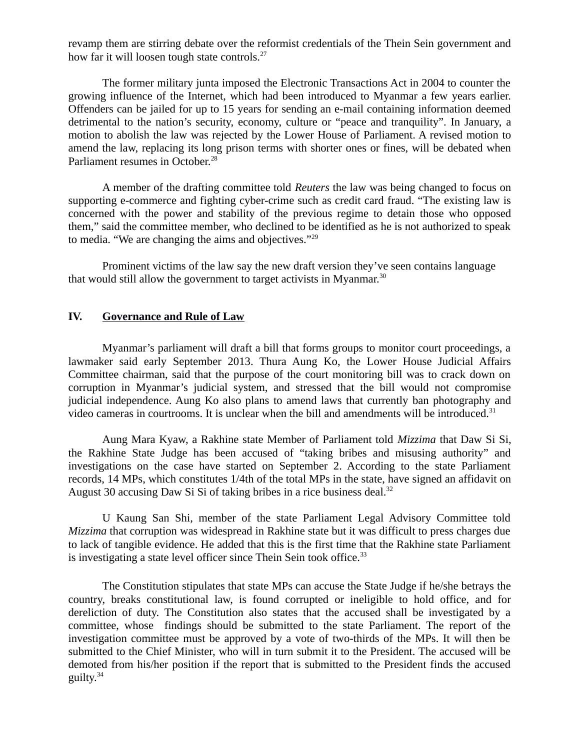revamp them are stirring debate over the reformist credentials of the Thein Sein government and how far it will loosen tough state controls.<sup>27</sup>

The former military junta imposed the Electronic Transactions Act in 2004 to counter the growing influence of the Internet, which had been introduced to Myanmar a few years earlier. Offenders can be jailed for up to 15 years for sending an e-mail containing information deemed detrimental to the nation's security, economy, culture or "peace and tranquility". In January, a motion to abolish the law was rejected by the Lower House of Parliament. A revised motion to amend the law, replacing its long prison terms with shorter ones or fines, will be debated when Parliament resumes in October.<sup>28</sup>

A member of the drafting committee told *Reuters* the law was being changed to focus on supporting e-commerce and fighting cyber-crime such as credit card fraud. "The existing law is concerned with the power and stability of the previous regime to detain those who opposed them," said the committee member, who declined to be identified as he is not authorized to speak to media. "We are changing the aims and objectives."<sup>29</sup>

Prominent victims of the law say the new draft version they've seen contains language that would still allow the government to target activists in Myanmar.<sup>30</sup>

#### <span id="page-3-0"></span>**IV. Governance and Rule of Law**

Myanmar's parliament will draft a bill that forms groups to monitor court proceedings, a lawmaker said early September 2013. Thura Aung Ko, the Lower House Judicial Affairs Committee chairman, said that the purpose of the court monitoring bill was to crack down on corruption in Myanmar's judicial system, and stressed that the bill would not compromise judicial independence. Aung Ko also plans to amend laws that currently ban photography and video cameras in courtrooms. It is unclear when the bill and amendments will be introduced.<sup>31</sup>

Aung Mara Kyaw, a Rakhine state Member of Parliament told *Mizzima* that Daw Si Si, the Rakhine State Judge has been accused of "taking bribes and misusing authority" and investigations on the case have started on September 2. According to the state Parliament records, 14 MPs, which constitutes 1/4th of the total MPs in the state, have signed an affidavit on August 30 accusing Daw Si Si of taking bribes in a rice business deal.<sup>32</sup>

U Kaung San Shi, member of the state Parliament Legal Advisory Committee told *Mizzima* that corruption was widespread in Rakhine state but it was difficult to press charges due to lack of tangible evidence. He added that this is the first time that the Rakhine state Parliament is investigating a state level officer since Thein Sein took office. $33$ 

The Constitution stipulates that state MPs can accuse the State Judge if he/she betrays the country, breaks constitutional law, is found corrupted or ineligible to hold office, and for dereliction of duty. The Constitution also states that the accused shall be investigated by a committee, whose findings should be submitted to the state Parliament. The report of the investigation committee must be approved by a vote of two-thirds of the MPs. It will then be submitted to the Chief Minister, who will in turn submit it to the President. The accused will be demoted from his/her position if the report that is submitted to the President finds the accused guilty. $34$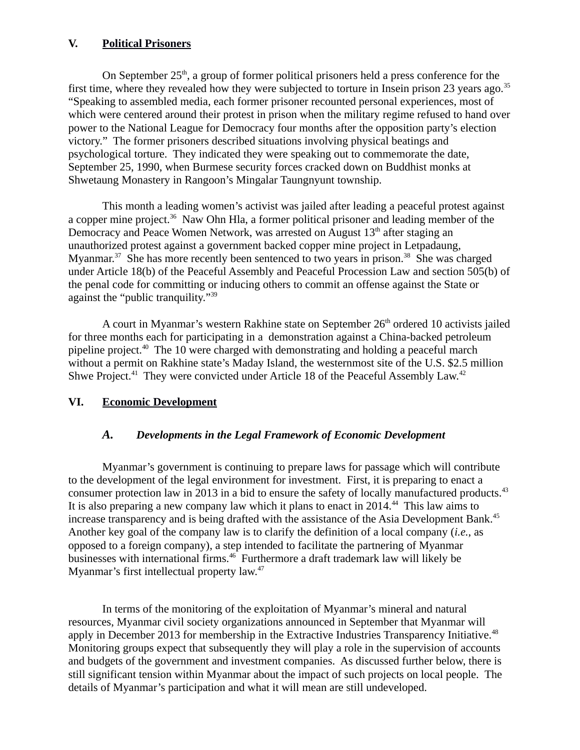# <span id="page-4-2"></span>**V. Political Prisoners**

On September  $25<sup>th</sup>$ , a group of former political prisoners held a press conference for the first time, where they revealed how they were subjected to torture in Insein prison 23 years ago.<sup>35</sup> "Speaking to assembled media, each former prisoner recounted personal experiences, most of which were centered around their protest in prison when the military regime refused to hand over power to the National League for Democracy four months after the opposition party's election victory." The former prisoners described situations involving physical beatings and psychological torture. They indicated they were speaking out to commemorate the date, September 25, 1990, when Burmese security forces cracked down on Buddhist monks at Shwetaung Monastery in Rangoon's Mingalar Taungnyunt township.

This month a leading women's activist was jailed after leading a peaceful protest against a copper mine project.<sup>36</sup> Naw Ohn Hla, a former political prisoner and leading member of the Democracy and Peace Women Network, was arrested on August  $13<sup>th</sup>$  after staging an unauthorized protest against a government backed copper mine project in Letpadaung, Myanmar.<sup>37</sup> She has more recently been sentenced to two years in prison.<sup>38</sup> She was charged under Article 18(b) of the Peaceful Assembly and Peaceful Procession Law and section 505(b) of the penal code for committing or inducing others to commit an offense against the State or against the "public tranquility."<sup>39</sup>

A court in Myanmar's western Rakhine state on September 26<sup>th</sup> ordered 10 activists jailed for three months each for participating in a demonstration against a China-backed petroleum pipeline project.<sup>40</sup> The 10 were charged with demonstrating and holding a peaceful march without a permit on Rakhine state's Maday Island, the westernmost site of the U.S. \$2.5 million Shwe Project.<sup>41</sup> They were convicted under Article 18 of the Peaceful Assembly Law.<sup>42</sup>

# **VI. Economic Development**

#### <span id="page-4-1"></span><span id="page-4-0"></span>*A. Developments in the Legal Framework of Economic Development*

Myanmar's government is continuing to prepare laws for passage which will contribute to the development of the legal environment for investment. First, it is preparing to enact a consumer protection law in 2013 in a bid to ensure the safety of locally manufactured products.<sup>43</sup> It is also preparing a new company law which it plans to enact in 2014.<sup>44</sup> This law aims to increase transparency and is being drafted with the assistance of the Asia Development Bank. $45$ Another key goal of the company law is to clarify the definition of a local company (*i.e.*, as opposed to a foreign company), a step intended to facilitate the partnering of Myanmar businesses with international firms.<sup>46</sup> Furthermore a draft trademark law will likely be Myanmar's first intellectual property law.<sup>47</sup>

In terms of the monitoring of the exploitation of Myanmar's mineral and natural resources, Myanmar civil society organizations announced in September that Myanmar will apply in December 2013 for membership in the Extractive Industries Transparency Initiative.<sup>48</sup> Monitoring groups expect that subsequently they will play a role in the supervision of accounts and budgets of the government and investment companies. As discussed further below, there is still significant tension within Myanmar about the impact of such projects on local people. The details of Myanmar's participation and what it will mean are still undeveloped.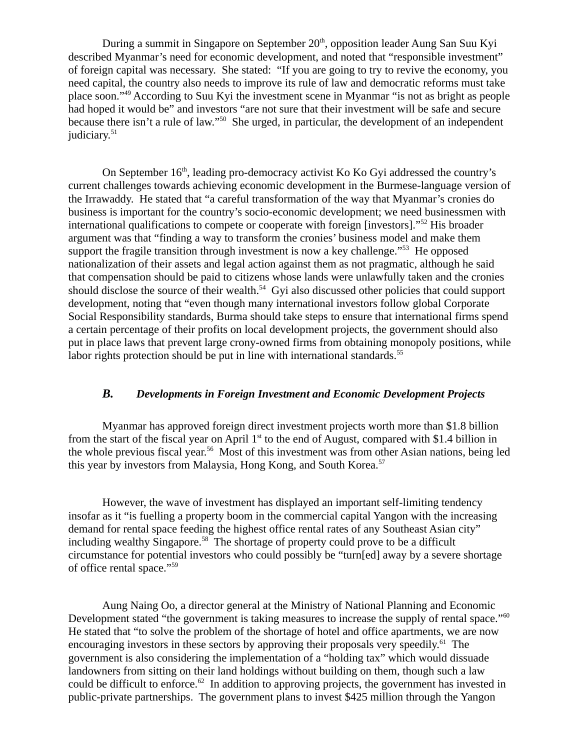During a summit in Singapore on September  $20<sup>th</sup>$ , opposition leader Aung San Suu Kyi described Myanmar's need for economic development, and noted that "responsible investment" of foreign capital was necessary. She stated: "If you are going to try to revive the economy, you need capital, the country also needs to improve its rule of law and democratic reforms must take place soon."<sup>49</sup> According to Suu Kyi the investment scene in Myanmar "is not as bright as people had hoped it would be" and investors "are not sure that their investment will be safe and secure because there isn't a rule of law."<sup>50</sup> She urged, in particular, the development of an independent judiciary.<sup>51</sup>

On September 16<sup>th</sup>, leading pro-democracy activist Ko Ko Gyi addressed the country's current challenges towards achieving economic development in the Burmese-language version of the Irrawaddy. He stated that "a careful transformation of the way that Myanmar's cronies do business is important for the country's socio-economic development; we need businessmen with international qualifications to compete or cooperate with foreign [investors]."<sup>52</sup> His broader argument was that "finding a way to transform the cronies' business model and make them support the fragile transition through investment is now a key challenge."<sup>53</sup> He opposed nationalization of their assets and legal action against them as not pragmatic, although he said that compensation should be paid to citizens whose lands were unlawfully taken and the cronies should disclose the source of their wealth.<sup>54</sup> Gyi also discussed other policies that could support development, noting that "even though many international investors follow global Corporate Social Responsibility standards, Burma should take steps to ensure that international firms spend a certain percentage of their profits on local development projects, the government should also put in place laws that prevent large crony-owned firms from obtaining monopoly positions, while labor rights protection should be put in line with international standards.<sup>55</sup>

#### <span id="page-5-0"></span>*B. Developments in Foreign Investment and Economic Development Projects*

Myanmar has approved foreign direct investment projects worth more than \$1.8 billion from the start of the fiscal year on April  $1<sup>st</sup>$  to the end of August, compared with \$1.4 billion in the whole previous fiscal year.<sup>56</sup> Most of this investment was from other Asian nations, being led this year by investors from Malaysia, Hong Kong, and South Korea.<sup>57</sup>

However, the wave of investment has displayed an important self-limiting tendency insofar as it "is fuelling a property boom in the commercial capital Yangon with the increasing demand for rental space feeding the highest office rental rates of any Southeast Asian city" including wealthy Singapore.<sup>58</sup> The shortage of property could prove to be a difficult circumstance for potential investors who could possibly be "turn[ed] away by a severe shortage of office rental space."<sup>59</sup>

Aung Naing Oo, a director general at the Ministry of National Planning and Economic Development stated "the government is taking measures to increase the supply of rental space."<sup>60</sup> He stated that "to solve the problem of the shortage of hotel and office apartments, we are now encouraging investors in these sectors by approving their proposals very speedily. $61$  The government is also considering the implementation of a "holding tax" which would dissuade landowners from sitting on their land holdings without building on them, though such a law could be difficult to enforce.<sup>62</sup> In addition to approving projects, the government has invested in public-private partnerships. The government plans to invest \$425 million through the Yangon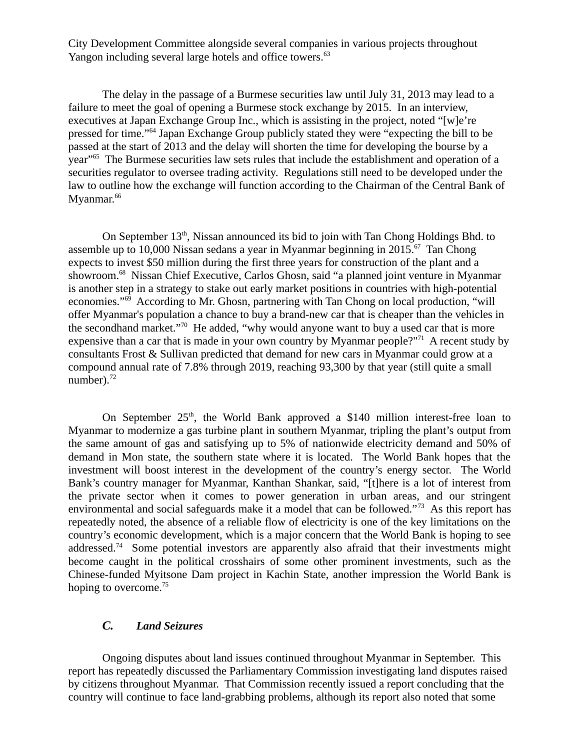City Development Committee alongside several companies in various projects throughout Yangon including several large hotels and office towers.<sup>63</sup>

The delay in the passage of a Burmese securities law until July 31, 2013 may lead to a failure to meet the goal of opening a Burmese stock exchange by 2015. In an interview, executives at Japan Exchange Group Inc., which is assisting in the project, noted "[w]e're pressed for time."<sup>64</sup> Japan Exchange Group publicly stated they were "expecting the bill to be passed at the start of 2013 and the delay will shorten the time for developing the bourse by a year"<sup>65</sup> The Burmese securities law sets rules that include the establishment and operation of a securities regulator to oversee trading activity. Regulations still need to be developed under the law to outline how the exchange will function according to the Chairman of the Central Bank of Myanmar.<sup>66</sup>

On September 13<sup>th</sup>, Nissan announced its bid to join with Tan Chong Holdings Bhd. to assemble up to 10,000 Nissan sedans a year in Myanmar beginning in 2015. $\frac{67}{ }$  Tan Chong expects to invest \$50 million during the first three years for construction of the plant and a showroom.<sup>68</sup> Nissan Chief Executive, Carlos Ghosn, said "a planned joint venture in Myanmar is another step in a strategy to stake out early market positions in countries with high-potential economies."<sup>69</sup> According to Mr. Ghosn, partnering with Tan Chong on local production, "will offer Myanmar's population a chance to buy a brand-new car that is cheaper than the vehicles in the secondhand market."<sup>70</sup> He added, "why would anyone want to buy a used car that is more expensive than a car that is made in your own country by Myanmar people?"<sup>71</sup> A recent study by consultants Frost & Sullivan predicted that demand for new cars in Myanmar could grow at a compound annual rate of 7.8% through 2019, reaching 93,300 by that year (still quite a small number). $72$ 

On September  $25<sup>th</sup>$ , the World Bank approved a \$140 million interest-free loan to Myanmar to modernize a gas turbine plant in southern Myanmar, tripling the plant's output from the same amount of gas and satisfying up to 5% of nationwide electricity demand and 50% of demand in Mon state, the southern state where it is located. The World Bank hopes that the investment will boost interest in the development of the country's energy sector. The World Bank's country manager for Myanmar, Kanthan Shankar, said, "[t]here is a lot of interest from the private sector when it comes to power generation in urban areas, and our stringent environmental and social safeguards make it a model that can be followed."<sup>73</sup> As this report has repeatedly noted, the absence of a reliable flow of electricity is one of the key limitations on the country's economic development, which is a major concern that the World Bank is hoping to see addressed.<sup>74</sup> Some potential investors are apparently also afraid that their investments might become caught in the political crosshairs of some other prominent investments, such as the Chinese-funded Myitsone Dam project in Kachin State, another impression the World Bank is hoping to overcome.<sup>75</sup>

# <span id="page-6-0"></span>*C. Land Seizures*

Ongoing disputes about land issues continued throughout Myanmar in September. This report has repeatedly discussed the Parliamentary Commission investigating land disputes raised by citizens throughout Myanmar. That Commission recently issued a report concluding that the country will continue to face land-grabbing problems, although its report also noted that some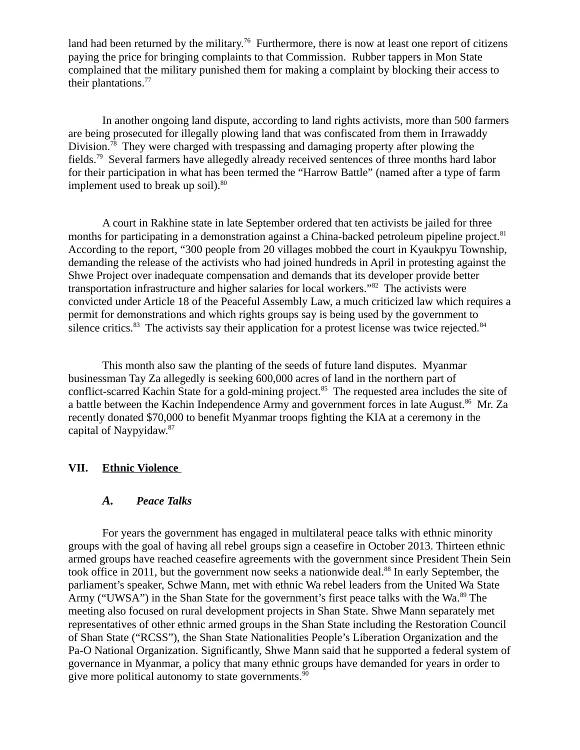land had been returned by the military.<sup>76</sup> Furthermore, there is now at least one report of citizens paying the price for bringing complaints to that Commission. Rubber tappers in Mon State complained that the military punished them for making a complaint by blocking their access to their plantations.<sup>77</sup>

In another ongoing land dispute, according to land rights activists, more than 500 farmers are being prosecuted for illegally plowing land that was confiscated from them in Irrawaddy Division.<sup>78</sup> They were charged with trespassing and damaging property after plowing the fields.<sup>79</sup> Several farmers have allegedly already received sentences of three months hard labor for their participation in what has been termed the "Harrow Battle" (named after a type of farm implement used to break up soil). $80$ 

A court in Rakhine state in late September ordered that ten activists be jailed for three months for participating in a demonstration against a China-backed petroleum pipeline project.<sup>81</sup> According to the report, "300 people from 20 villages mobbed the court in Kyaukpyu Township, demanding the release of the activists who had joined hundreds in April in protesting against the Shwe Project over inadequate compensation and demands that its developer provide better transportation infrastructure and higher salaries for local workers."<sup>82</sup> The activists were convicted under Article 18 of the Peaceful Assembly Law, a much criticized law which requires a permit for demonstrations and which rights groups say is being used by the government to silence critics. $83$  The activists say their application for a protest license was twice rejected. $84$ 

This month also saw the planting of the seeds of future land disputes. Myanmar businessman Tay Za allegedly is seeking 600,000 acres of land in the northern part of conflict-scarred Kachin State for a gold-mining project.<sup>85</sup> The requested area includes the site of a battle between the Kachin Independence Army and government forces in late August.<sup>86</sup> Mr. Za recently donated \$70,000 to benefit Myanmar troops fighting the KIA at a ceremony in the capital of Naypyidaw.<sup>87</sup>

#### **VII. Ethnic Violence**

#### <span id="page-7-1"></span><span id="page-7-0"></span>*A. Peace Talks*

For years the government has engaged in multilateral peace talks with ethnic minority groups with the goal of having all rebel groups sign a ceasefire in October 2013. Thirteen ethnic armed groups have reached ceasefire agreements with the government since President Thein Sein took office in 2011, but the government now seeks a nationwide deal.<sup>88</sup> In early September, the parliament's speaker, Schwe Mann, met with ethnic Wa rebel leaders from the United Wa State Army ("UWSA") in the Shan State for the government's first peace talks with the Wa.<sup>89</sup> The meeting also focused on rural development projects in Shan State. Shwe Mann separately met representatives of other ethnic armed groups in the Shan State including the Restoration Council of Shan State ("RCSS"), the Shan State Nationalities People's Liberation Organization and the Pa-O National Organization. Significantly, Shwe Mann said that he supported a federal system of governance in Myanmar, a policy that many ethnic groups have demanded for years in order to give more political autonomy to state governments. $90$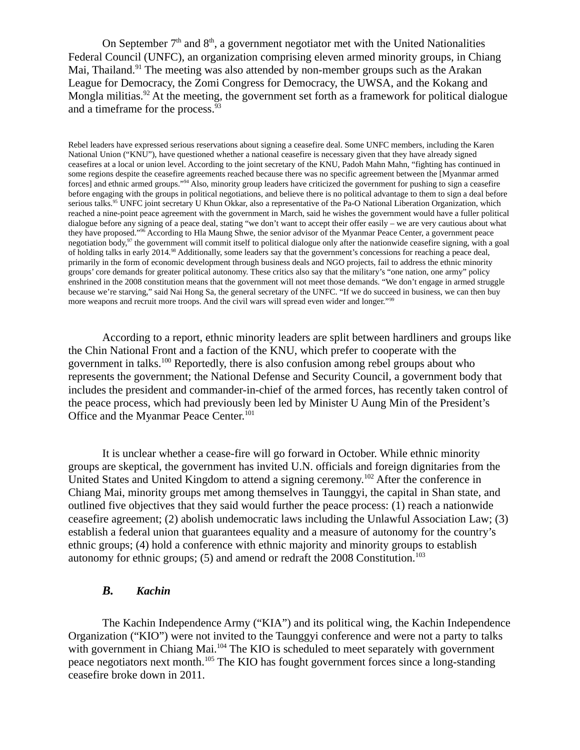On September  $7<sup>th</sup>$  and  $8<sup>th</sup>$ , a government negotiator met with the United Nationalities Federal Council (UNFC), an organization comprising eleven armed minority groups, in Chiang Mai, Thailand.<sup>91</sup> The meeting was also attended by non-member groups such as the Arakan League for Democracy, the Zomi Congress for Democracy, the UWSA, and the Kokang and Mongla militias.<sup>92</sup> At the meeting, the government set forth as a framework for political dialogue and a timeframe for the process.<sup>93</sup>

Rebel leaders have expressed serious reservations about signing a ceasefire deal. Some UNFC members, including the Karen National Union ("KNU"), have questioned whether a national ceasefire is necessary given that they have already signed ceasefires at a local or union level. According to the joint secretary of the KNU, Padoh Mahn Mahn, "fighting has continued in some regions despite the ceasefire agreements reached because there was no specific agreement between the [Myanmar armed forces] and ethnic armed groups."<sup>94</sup> Also, minority group leaders have criticized the government for pushing to sign a ceasefire before engaging with the groups in political negotiations, and believe there is no political advantage to them to sign a deal before serious talks.<sup>95</sup> UNFC joint secretary U Khun Okkar, also a representative of the Pa-O National Liberation Organization, which reached a nine-point peace agreement with the government in March, said he wishes the government would have a fuller political dialogue before any signing of a peace deal, stating "we don't want to accept their offer easily – we are very cautious about what they have proposed."<sup>96</sup> According to Hla Maung Shwe, the senior advisor of the Myanmar Peace Center, a government peace negotiation body,<sup>97</sup> the government will commit itself to political dialogue only after the nationwide ceasefire signing, with a goal of holding talks in early 2014.<sup>98</sup> Additionally, some leaders say that the government's concessions for reaching a peace deal, primarily in the form of economic development through business deals and NGO projects, fail to address the ethnic minority groups' core demands for greater political autonomy. These critics also say that the military's "one nation, one army" policy enshrined in the 2008 constitution means that the government will not meet those demands. "We don't engage in armed struggle because we're starving," said Nai Hong Sa, the general secretary of the UNFC. "If we do succeed in business, we can then buy more weapons and recruit more troops. And the civil wars will spread even wider and longer."<sup>99</sup>

According to a report, ethnic minority leaders are split between hardliners and groups like the Chin National Front and a faction of the KNU, which prefer to cooperate with the government in talks.<sup>100</sup> Reportedly, there is also confusion among rebel groups about who represents the government; the National Defense and Security Council, a government body that includes the president and commander-in-chief of the armed forces, has recently taken control of the peace process, which had previously been led by Minister U Aung Min of the President's Office and the Myanmar Peace Center.<sup>101</sup>

It is unclear whether a cease-fire will go forward in October. While ethnic minority groups are skeptical, the government has invited U.N. officials and foreign dignitaries from the United States and United Kingdom to attend a signing ceremony.<sup>102</sup> After the conference in Chiang Mai, minority groups met among themselves in Taunggyi, the capital in Shan state, and outlined five objectives that they said would further the peace process: (1) reach a nationwide ceasefire agreement; (2) abolish undemocratic laws including the Unlawful Association Law; (3) establish a federal union that guarantees equality and a measure of autonomy for the country's ethnic groups; (4) hold a conference with ethnic majority and minority groups to establish autonomy for ethnic groups;  $(5)$  and amend or redraft the 2008 Constitution.<sup>103</sup>

### <span id="page-8-0"></span>*B. Kachin*

The Kachin Independence Army ("KIA") and its political wing, the Kachin Independence Organization ("KIO") were not invited to the Taunggyi conference and were not a party to talks with government in Chiang Mai.<sup>104</sup> The KIO is scheduled to meet separately with government peace negotiators next month.<sup>105</sup> The KIO has fought government forces since a long-standing ceasefire broke down in 2011.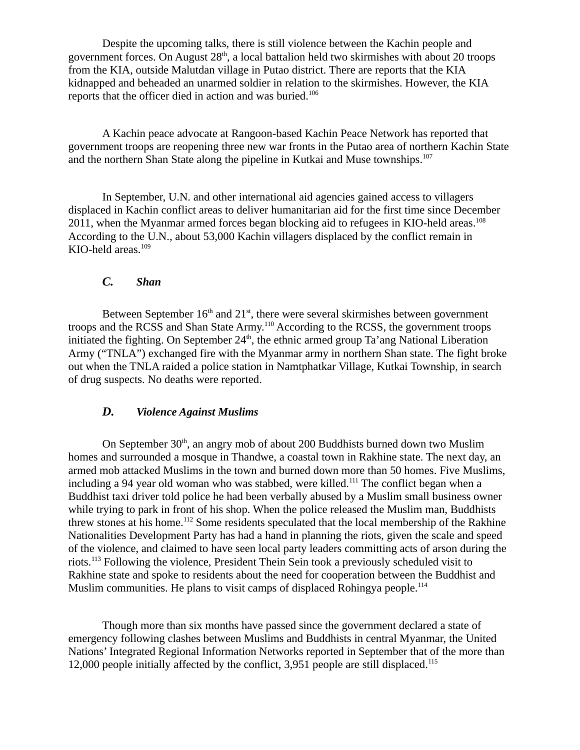Despite the upcoming talks, there is still violence between the Kachin people and government forces. On August  $28<sup>th</sup>$ , a local battalion held two skirmishes with about 20 troops from the KIA, outside Malutdan village in Putao district. There are reports that the KIA kidnapped and beheaded an unarmed soldier in relation to the skirmishes. However, the KIA reports that the officer died in action and was buried.<sup>106</sup>

A Kachin peace advocate at Rangoon-based Kachin Peace Network has reported that government troops are reopening three new war fronts in the Putao area of northern Kachin State and the northern Shan State along the pipeline in Kutkai and Muse townships.<sup>107</sup>

In September, U.N. and other international aid agencies gained access to villagers displaced in Kachin conflict areas to deliver humanitarian aid for the first time since December 2011, when the Myanmar armed forces began blocking aid to refugees in KIO-held areas.<sup>108</sup> According to the U.N., about 53,000 Kachin villagers displaced by the conflict remain in KIO-held areas. $109$ 

#### <span id="page-9-1"></span>*C. Shan*

Between September  $16<sup>th</sup>$  and  $21<sup>st</sup>$ , there were several skirmishes between government troops and the RCSS and Shan State Army.<sup>110</sup> According to the RCSS, the government troops initiated the fighting. On September  $24<sup>th</sup>$ , the ethnic armed group Ta'ang National Liberation Army ("TNLA") exchanged fire with the Myanmar army in northern Shan state. The fight broke out when the TNLA raided a police station in Namtphatkar Village, Kutkai Township, in search of drug suspects. No deaths were reported.

#### <span id="page-9-0"></span>*D. Violence Against Muslims*

On September  $30<sup>th</sup>$ , an angry mob of about 200 Buddhists burned down two Muslim homes and surrounded a mosque in Thandwe, a coastal town in Rakhine state. The next day, an armed mob attacked Muslims in the town and burned down more than 50 homes. Five Muslims, including a 94 year old woman who was stabbed, were killed.<sup>111</sup> The conflict began when a Buddhist taxi driver told police he had been verbally abused by a Muslim small business owner while trying to park in front of his shop. When the police released the Muslim man, Buddhists threw stones at his home.<sup>112</sup> Some residents speculated that the local membership of the Rakhine Nationalities Development Party has had a hand in planning the riots, given the scale and speed of the violence, and claimed to have seen local party leaders committing acts of arson during the riots.<sup>113</sup> Following the violence, President Thein Sein took a previously scheduled visit to Rakhine state and spoke to residents about the need for cooperation between the Buddhist and Muslim communities. He plans to visit camps of displaced Rohingya people.<sup>114</sup>

Though more than six months have passed since the government declared a state of emergency following clashes between Muslims and Buddhists in central Myanmar, the United Nations' Integrated Regional Information Networks reported in September that of the more than 12,000 people initially affected by the conflict, 3,951 people are still displaced.<sup>115</sup>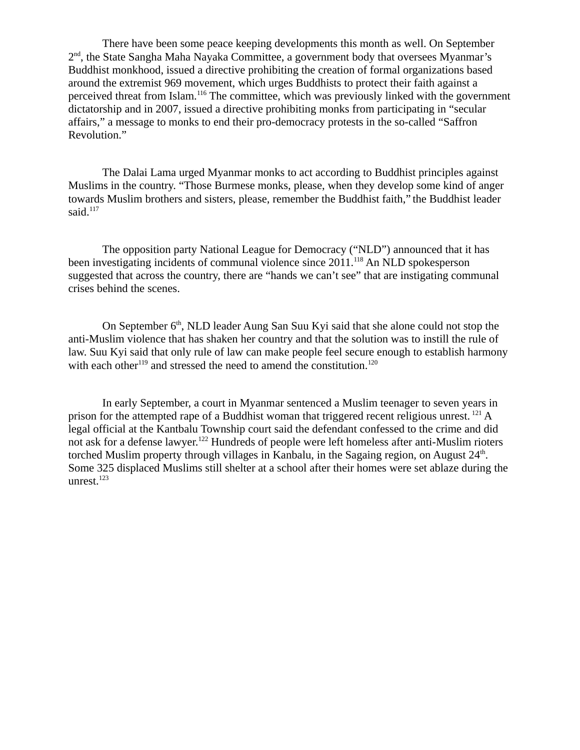There have been some peace keeping developments this month as well. On September 2<sup>nd</sup>, the State Sangha Maha Nayaka Committee, a government body that oversees Myanmar's Buddhist monkhood, issued a directive prohibiting the creation of formal organizations based around the extremist 969 movement, which urges Buddhists to protect their faith against a perceived threat from Islam.<sup>116</sup> The committee, which was previously linked with the government dictatorship and in 2007, issued a directive prohibiting monks from participating in "secular affairs," a message to monks to end their pro-democracy protests in the so-called "Saffron Revolution."

The Dalai Lama urged Myanmar monks to act according to Buddhist principles against Muslims in the country. "Those Burmese monks, please, when they develop some kind of anger towards Muslim brothers and sisters, please, remember the Buddhist faith," the Buddhist leader said. $^{117}$ 

The opposition party National League for Democracy ("NLD") announced that it has been investigating incidents of communal violence since 2011.<sup>118</sup> An NLD spokesperson suggested that across the country, there are "hands we can't see" that are instigating communal crises behind the scenes.

On September  $6<sup>th</sup>$ , NLD leader Aung San Suu Kyi said that she alone could not stop the anti-Muslim violence that has shaken her country and that the solution was to instill the rule of law. Suu Kyi said that only rule of law can make people feel secure enough to establish harmony with each other<sup>119</sup> and stressed the need to amend the constitution.<sup>120</sup>

In early September, a court in Myanmar sentenced a Muslim teenager to seven years in prison for the attempted rape of a Buddhist woman that triggered recent religious unrest.  $^{121}$  A legal official at the Kantbalu Township court said the defendant confessed to the crime and did not ask for a defense lawyer.<sup>122</sup> Hundreds of people were left homeless after anti-Muslim rioters torched Muslim property through villages in Kanbalu, in the Sagaing region, on August  $24<sup>th</sup>$ . Some 325 displaced Muslims still shelter at a school after their homes were set ablaze during the unrest.<sup>123</sup>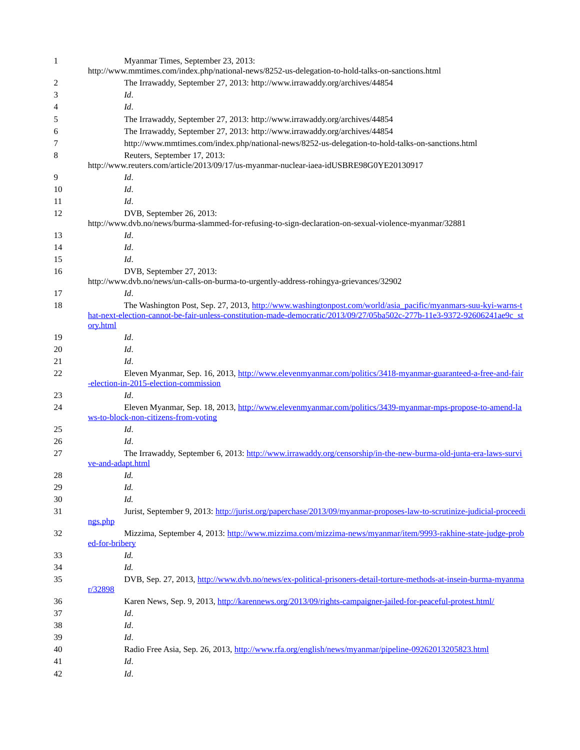| $\mathbf{1}$ | Myanmar Times, September 23, 2013:                                                                                                                                                                                                       |
|--------------|------------------------------------------------------------------------------------------------------------------------------------------------------------------------------------------------------------------------------------------|
|              | http://www.mmtimes.com/index.php/national-news/8252-us-delegation-to-hold-talks-on-sanctions.html                                                                                                                                        |
| 2            | The Irrawaddy, September 27, 2013: http://www.irrawaddy.org/archives/44854                                                                                                                                                               |
| 3            | Id.                                                                                                                                                                                                                                      |
| 4            | Id.                                                                                                                                                                                                                                      |
| 5            | The Irrawaddy, September 27, 2013: http://www.irrawaddy.org/archives/44854                                                                                                                                                               |
| 6            | The Irrawaddy, September 27, 2013: http://www.irrawaddy.org/archives/44854                                                                                                                                                               |
| 7            | http://www.mmtimes.com/index.php/national-news/8252-us-delegation-to-hold-talks-on-sanctions.html                                                                                                                                        |
| 8            | Reuters, September 17, 2013:<br>http://www.reuters.com/article/2013/09/17/us-myanmar-nuclear-iaea-idUSBRE98G0YE20130917                                                                                                                  |
| 9            | Id.                                                                                                                                                                                                                                      |
| 10           | Id.                                                                                                                                                                                                                                      |
| 11           | Id.                                                                                                                                                                                                                                      |
| 12           | DVB, September 26, 2013:<br>http://www.dvb.no/news/burma-slammed-for-refusing-to-sign-declaration-on-sexual-violence-myanmar/32881                                                                                                       |
| 13           | Id.                                                                                                                                                                                                                                      |
| 14           | Id.                                                                                                                                                                                                                                      |
| 15           | Id.                                                                                                                                                                                                                                      |
| 16           | DVB, September 27, 2013:                                                                                                                                                                                                                 |
|              | http://www.dvb.no/news/un-calls-on-burma-to-urgently-address-rohingya-grievances/32902                                                                                                                                                   |
| 17           | Id.                                                                                                                                                                                                                                      |
| 18           | The Washington Post, Sep. 27, 2013, http://www.washingtonpost.com/world/asia_pacific/myanmars-suu-kyi-warns-t<br>hat-next-election-cannot-be-fair-unless-constitution-made-democratic/2013/09/27/05ba502c-277b-11e3-9372-92606241ae9c_st |
|              | ory.html                                                                                                                                                                                                                                 |
| 19           | Id.                                                                                                                                                                                                                                      |
| 20           | Id.                                                                                                                                                                                                                                      |
| 21           | Id.                                                                                                                                                                                                                                      |
| 22           | Eleven Myanmar, Sep. 16, 2013, http://www.elevenmyanmar.com/politics/3418-myanmar-guaranteed-a-free-and-fair<br>-election-in-2015-election-commission                                                                                    |
| 23           | Id.                                                                                                                                                                                                                                      |
| 24           | Eleven Myanmar, Sep. 18, 2013, http://www.elevenmyanmar.com/politics/3439-myanmar-mps-propose-to-amend-la<br>ws-to-block-non-citizens-from-voting                                                                                        |
| 25           | Id.                                                                                                                                                                                                                                      |
| 26           | Id.                                                                                                                                                                                                                                      |
| 27           | The Irrawaddy, September 6, 2013: http://www.irrawaddy.org/censorship/in-the-new-burma-old-junta-era-laws-survi<br>ve-and-adapt.html                                                                                                     |
| 28           | Id.                                                                                                                                                                                                                                      |
| 29           | Id.                                                                                                                                                                                                                                      |
| 30           | Id.                                                                                                                                                                                                                                      |
| 31           | Jurist, September 9, 2013: http://jurist.org/paperchase/2013/09/myanmar-proposes-law-to-scrutinize-judicial-proceedi                                                                                                                     |
|              | ngs.php                                                                                                                                                                                                                                  |
| 32           | Mizzima, September 4, 2013: http://www.mizzima.com/mizzima-news/myanmar/item/9993-rakhine-state-judge-prob<br>ed-for-bribery                                                                                                             |
| 33           | Id.                                                                                                                                                                                                                                      |
| 34           | Id.                                                                                                                                                                                                                                      |
|              | DVB, Sep. 27, 2013, http://www.dvb.no/news/ex-political-prisoners-detail-torture-methods-at-insein-burma-myanma                                                                                                                          |
| 35           | r/32898                                                                                                                                                                                                                                  |
| 36           | Karen News, Sep. 9, 2013, http://karennews.org/2013/09/rights-campaigner-jailed-for-peaceful-protest.html/                                                                                                                               |
| 37           | Id.                                                                                                                                                                                                                                      |
| 38           | Id.                                                                                                                                                                                                                                      |
| 39           | Id.                                                                                                                                                                                                                                      |
| 40           | Radio Free Asia, Sep. 26, 2013, http://www.rfa.org/english/news/myanmar/pipeline-09262013205823.html                                                                                                                                     |
| 41           | Id.                                                                                                                                                                                                                                      |
| 42           | Id.                                                                                                                                                                                                                                      |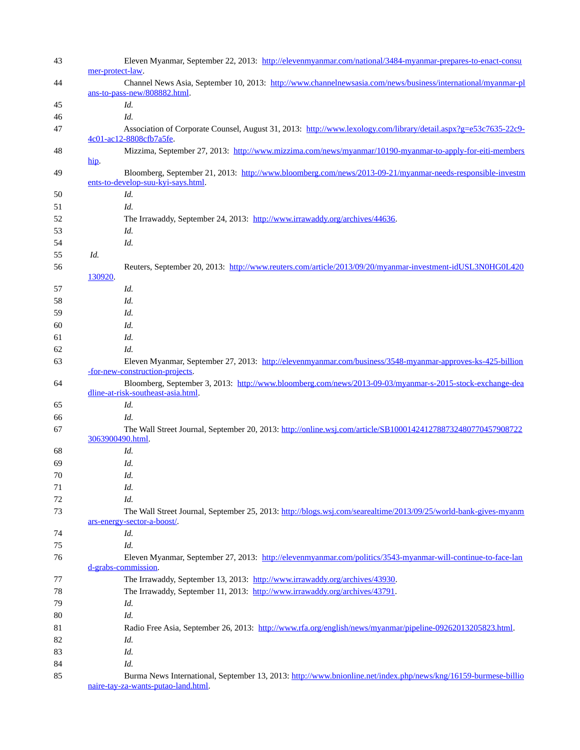| 43 | Eleven Myanmar, September 22, 2013: http://elevenmyanmar.com/national/3484-myanmar-prepares-to-enact-consu<br>mer-protect-law.               |
|----|----------------------------------------------------------------------------------------------------------------------------------------------|
| 44 | Channel News Asia, September 10, 2013: http://www.channelnewsasia.com/news/business/international/myanmar-pl<br>ans-to-pass-new/808882.html. |
| 45 | Id.                                                                                                                                          |
| 46 | Id.                                                                                                                                          |
| 47 | Association of Corporate Counsel, August 31, 2013: http://www.lexology.com/library/detail.aspx?g=e53c7635-22c9-                              |
| 48 | 4c01-ac12-8808cfb7a5fe.<br>Mizzima, September 27, 2013: http://www.mizzima.com/news/myanmar/10190-myanmar-to-apply-for-eiti-members          |
| 49 | $\overline{\text{hip}}$ .<br>Bloomberg, September 21, 2013: http://www.bloomberg.com/news/2013-09-21/myanmar-needs-responsible-investm       |
|    | ents-to-develop-suu-kyi-says.html.                                                                                                           |
| 50 | Id.                                                                                                                                          |
| 51 | Id.                                                                                                                                          |
| 52 | The Irrawaddy, September 24, 2013: http://www.irrawaddy.org/archives/44636.                                                                  |
| 53 | Id.                                                                                                                                          |
| 54 | Id.                                                                                                                                          |
| 55 | Id.                                                                                                                                          |
| 56 | Reuters, September 20, 2013: http://www.reuters.com/article/2013/09/20/myanmar-investment-idUSL3N0HG0L420<br>130920.                         |
| 57 | Id.                                                                                                                                          |
| 58 | Id.                                                                                                                                          |
| 59 | Id.                                                                                                                                          |
| 60 | Id.                                                                                                                                          |
| 61 | Id.                                                                                                                                          |
| 62 | Id.                                                                                                                                          |
| 63 | Eleven Myanmar, September 27, 2013: http://elevenmyanmar.com/business/3548-myanmar-approves-ks-425-billion                                   |
|    | -for-new-construction-projects.                                                                                                              |
| 64 | Bloomberg, September 3, 2013: http://www.bloomberg.com/news/2013-09-03/myanmar-s-2015-stock-exchange-dea                                     |
|    | dline-at-risk-southeast-asia.html.                                                                                                           |
| 65 | Id.                                                                                                                                          |
| 66 | Id.                                                                                                                                          |
| 67 | The Wall Street Journal, September 20, 2013: http://online.wsj.com/article/SB1000142412788732480770457908722                                 |
|    | 3063900490.html.                                                                                                                             |
| 68 | Id.                                                                                                                                          |
| 69 | Id.                                                                                                                                          |
| 70 | Id.                                                                                                                                          |
| 71 | Id.                                                                                                                                          |
| 72 | Id.                                                                                                                                          |
| 73 | The Wall Street Journal, September 25, 2013: http://blogs.wsj.com/searealtime/2013/09/25/world-bank-gives-myanm                              |
|    | ars-energy-sector-a-boost/.                                                                                                                  |
| 74 | Id.                                                                                                                                          |
| 75 | Id.                                                                                                                                          |
| 76 | Eleven Myanmar, September 27, 2013: http://elevenmyanmar.com/politics/3543-myanmar-will-continue-to-face-lan                                 |
|    | d-grabs-commission.                                                                                                                          |
| 77 | The Irrawaddy, September 13, 2013: http://www.irrawaddy.org/archives/43930.                                                                  |
| 78 | The Irrawaddy, September 11, 2013: http://www.irrawaddy.org/archives/43791.                                                                  |
| 79 | Id.                                                                                                                                          |
| 80 | Id.                                                                                                                                          |
| 81 | Radio Free Asia, September 26, 2013: http://www.rfa.org/english/news/myanmar/pipeline-09262013205823.html.                                   |
| 82 | Id.                                                                                                                                          |
| 83 | Id.                                                                                                                                          |
| 84 | Id.                                                                                                                                          |
| 85 | Burma News International, September 13, 2013: http://www.bnionline.net/index.php/news/kng/16159-burmese-billio                               |
|    | naire-tay-za-wants-putao-land.html.                                                                                                          |